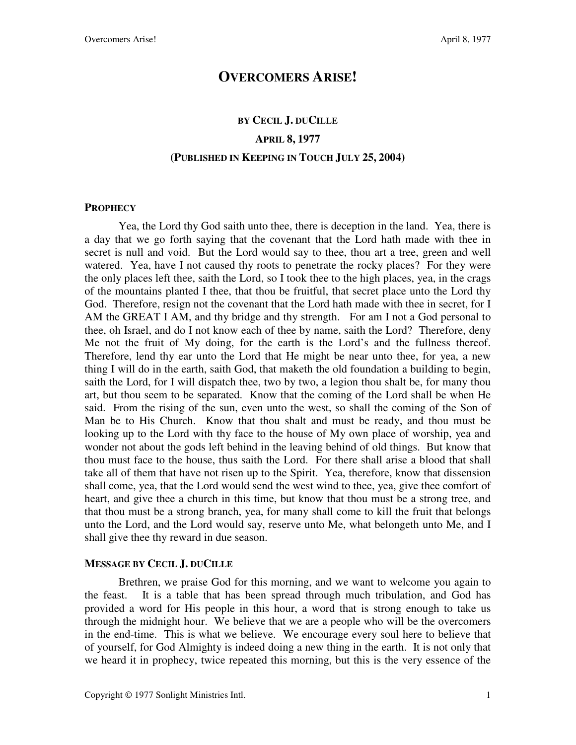### **OVERCOMERS ARISE!**

## **BY CECIL J. DUCILLE APRIL 8, 1977 (PUBLISHED IN KEEPING IN TOUCH JULY 25, 2004)**

#### **PROPHECY**

Yea, the Lord thy God saith unto thee, there is deception in the land. Yea, there is a day that we go forth saying that the covenant that the Lord hath made with thee in secret is null and void. But the Lord would say to thee, thou art a tree, green and well watered. Yea, have I not caused thy roots to penetrate the rocky places? For they were the only places left thee, saith the Lord, so I took thee to the high places, yea, in the crags of the mountains planted I thee, that thou be fruitful, that secret place unto the Lord thy God. Therefore, resign not the covenant that the Lord hath made with thee in secret, for I AM the GREAT I AM, and thy bridge and thy strength. For am I not a God personal to thee, oh Israel, and do I not know each of thee by name, saith the Lord? Therefore, deny Me not the fruit of My doing, for the earth is the Lord's and the fullness thereof. Therefore, lend thy ear unto the Lord that He might be near unto thee, for yea, a new thing I will do in the earth, saith God, that maketh the old foundation a building to begin, saith the Lord, for I will dispatch thee, two by two, a legion thou shalt be, for many thou art, but thou seem to be separated. Know that the coming of the Lord shall be when He said. From the rising of the sun, even unto the west, so shall the coming of the Son of Man be to His Church. Know that thou shalt and must be ready, and thou must be looking up to the Lord with thy face to the house of My own place of worship, yea and wonder not about the gods left behind in the leaving behind of old things. But know that thou must face to the house, thus saith the Lord. For there shall arise a blood that shall take all of them that have not risen up to the Spirit. Yea, therefore, know that dissension shall come, yea, that the Lord would send the west wind to thee, yea, give thee comfort of heart, and give thee a church in this time, but know that thou must be a strong tree, and that thou must be a strong branch, yea, for many shall come to kill the fruit that belongs unto the Lord, and the Lord would say, reserve unto Me, what belongeth unto Me, and I shall give thee thy reward in due season.

#### **MESSAGE BY CECIL J. DUCILLE**

Brethren, we praise God for this morning, and we want to welcome you again to the feast. It is a table that has been spread through much tribulation, and God has provided a word for His people in this hour, a word that is strong enough to take us through the midnight hour. We believe that we are a people who will be the overcomers in the end-time. This is what we believe. We encourage every soul here to believe that of yourself, for God Almighty is indeed doing a new thing in the earth. It is not only that we heard it in prophecy, twice repeated this morning, but this is the very essence of the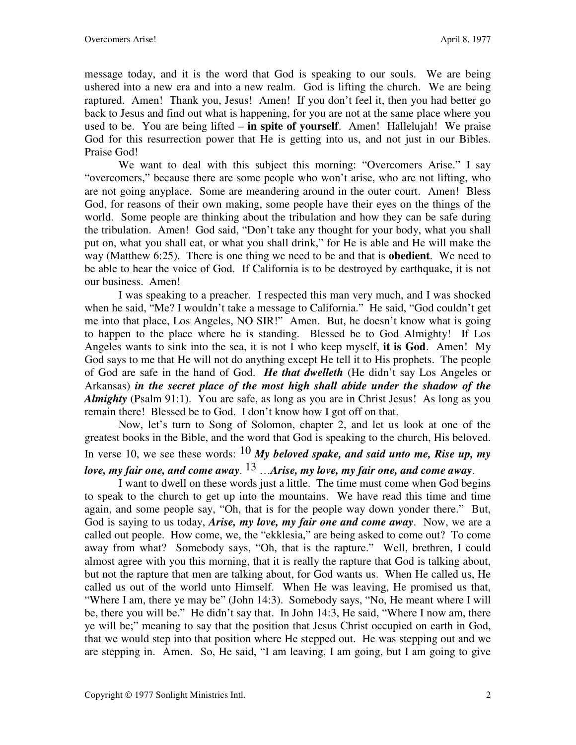message today, and it is the word that God is speaking to our souls. We are being ushered into a new era and into a new realm. God is lifting the church. We are being raptured. Amen! Thank you, Jesus! Amen! If you don't feel it, then you had better go back to Jesus and find out what is happening, for you are not at the same place where you used to be. You are being lifted – **in spite of yourself**. Amen! Hallelujah! We praise God for this resurrection power that He is getting into us, and not just in our Bibles. Praise God!

We want to deal with this subject this morning: "Overcomers Arise." I say "overcomers," because there are some people who won't arise, who are not lifting, who are not going anyplace. Some are meandering around in the outer court. Amen! Bless God, for reasons of their own making, some people have their eyes on the things of the world. Some people are thinking about the tribulation and how they can be safe during the tribulation. Amen! God said, "Don't take any thought for your body, what you shall put on, what you shall eat, or what you shall drink," for He is able and He will make the way (Matthew 6:25). There is one thing we need to be and that is **obedient**. We need to be able to hear the voice of God. If California is to be destroyed by earthquake, it is not our business. Amen!

I was speaking to a preacher. I respected this man very much, and I was shocked when he said, "Me? I wouldn't take a message to California." He said, "God couldn't get me into that place, Los Angeles, NO SIR!" Amen. But, he doesn't know what is going to happen to the place where he is standing. Blessed be to God Almighty! If Los Angeles wants to sink into the sea, it is not I who keep myself, **it is God**. Amen! My God says to me that He will not do anything except He tell it to His prophets. The people of God are safe in the hand of God. *He that dwelleth* (He didn't say Los Angeles or Arkansas) *in the secret place of the most high shall abide under the shadow of the Almighty* (Psalm 91:1). You are safe, as long as you are in Christ Jesus! As long as you remain there! Blessed be to God. I don't know how I got off on that.

Now, let's turn to Song of Solomon, chapter 2, and let us look at one of the greatest books in the Bible, and the word that God is speaking to the church, His beloved. In verse 10, we see these words:  $10$  My beloved spake, and said unto me, Rise up, my *love, my fair one, and come away*. 13 …*Arise, my love, my fair one, and come away*.

I want to dwell on these words just a little. The time must come when God begins to speak to the church to get up into the mountains. We have read this time and time again, and some people say, "Oh, that is for the people way down yonder there." But, God is saying to us today, *Arise, my love, my fair one and come away*. Now, we are a called out people. How come, we, the "ekklesia," are being asked to come out? To come away from what? Somebody says, "Oh, that is the rapture." Well, brethren, I could almost agree with you this morning, that it is really the rapture that God is talking about, but not the rapture that men are talking about, for God wants us. When He called us, He called us out of the world unto Himself. When He was leaving, He promised us that, "Where I am, there ye may be" (John 14:3). Somebody says, "No, He meant where I will be, there you will be." He didn't say that. In John 14:3, He said, "Where I now am, there ye will be;" meaning to say that the position that Jesus Christ occupied on earth in God, that we would step into that position where He stepped out. He was stepping out and we are stepping in. Amen. So, He said, "I am leaving, I am going, but I am going to give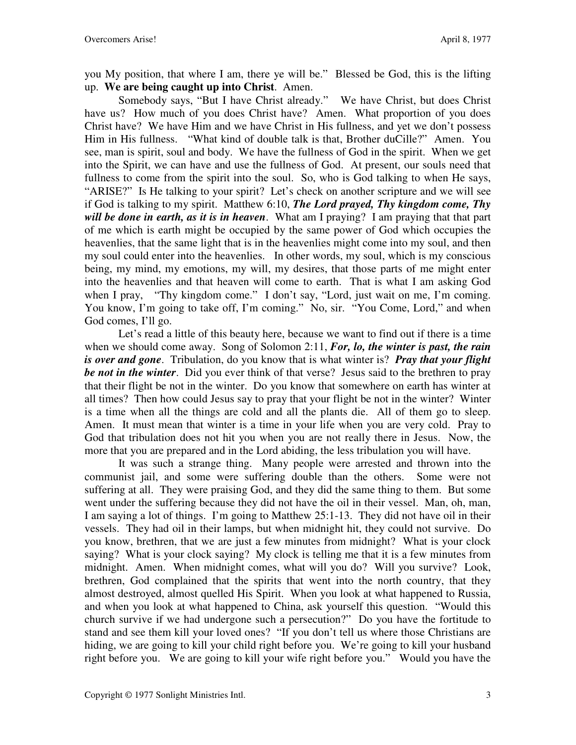you My position, that where I am, there ye will be." Blessed be God, this is the lifting up. **We are being caught up into Christ**. Amen.

Somebody says, "But I have Christ already." We have Christ, but does Christ have us? How much of you does Christ have? Amen. What proportion of you does Christ have? We have Him and we have Christ in His fullness, and yet we don't possess Him in His fullness. "What kind of double talk is that, Brother duCille?" Amen. You see, man is spirit, soul and body. We have the fullness of God in the spirit. When we get into the Spirit, we can have and use the fullness of God. At present, our souls need that fullness to come from the spirit into the soul. So, who is God talking to when He says, "ARISE?" Is He talking to your spirit? Let's check on another scripture and we will see if God is talking to my spirit. Matthew 6:10, *The Lord prayed, Thy kingdom come, Thy will be done in earth, as it is in heaven*. What am I praying? I am praying that that part of me which is earth might be occupied by the same power of God which occupies the heavenlies, that the same light that is in the heavenlies might come into my soul, and then my soul could enter into the heavenlies. In other words, my soul, which is my conscious being, my mind, my emotions, my will, my desires, that those parts of me might enter into the heavenlies and that heaven will come to earth. That is what I am asking God when I pray, "Thy kingdom come." I don't say, "Lord, just wait on me, I'm coming. You know, I'm going to take off, I'm coming." No, sir. "You Come, Lord," and when God comes, I'll go.

Let's read a little of this beauty here, because we want to find out if there is a time when we should come away. Song of Solomon 2:11, *For, lo, the winter is past, the rain is over and gone*. Tribulation, do you know that is what winter is? *Pray that your flight be not in the winter*. Did you ever think of that verse? Jesus said to the brethren to pray that their flight be not in the winter. Do you know that somewhere on earth has winter at all times? Then how could Jesus say to pray that your flight be not in the winter? Winter is a time when all the things are cold and all the plants die. All of them go to sleep. Amen. It must mean that winter is a time in your life when you are very cold. Pray to God that tribulation does not hit you when you are not really there in Jesus. Now, the more that you are prepared and in the Lord abiding, the less tribulation you will have.

It was such a strange thing. Many people were arrested and thrown into the communist jail, and some were suffering double than the others. Some were not suffering at all. They were praising God, and they did the same thing to them. But some went under the suffering because they did not have the oil in their vessel. Man, oh, man, I am saying a lot of things. I'm going to Matthew 25:1-13. They did not have oil in their vessels. They had oil in their lamps, but when midnight hit, they could not survive. Do you know, brethren, that we are just a few minutes from midnight? What is your clock saying? What is your clock saying? My clock is telling me that it is a few minutes from midnight. Amen. When midnight comes, what will you do? Will you survive? Look, brethren, God complained that the spirits that went into the north country, that they almost destroyed, almost quelled His Spirit. When you look at what happened to Russia, and when you look at what happened to China, ask yourself this question. "Would this church survive if we had undergone such a persecution?" Do you have the fortitude to stand and see them kill your loved ones? "If you don't tell us where those Christians are hiding, we are going to kill your child right before you. We're going to kill your husband right before you. We are going to kill your wife right before you." Would you have the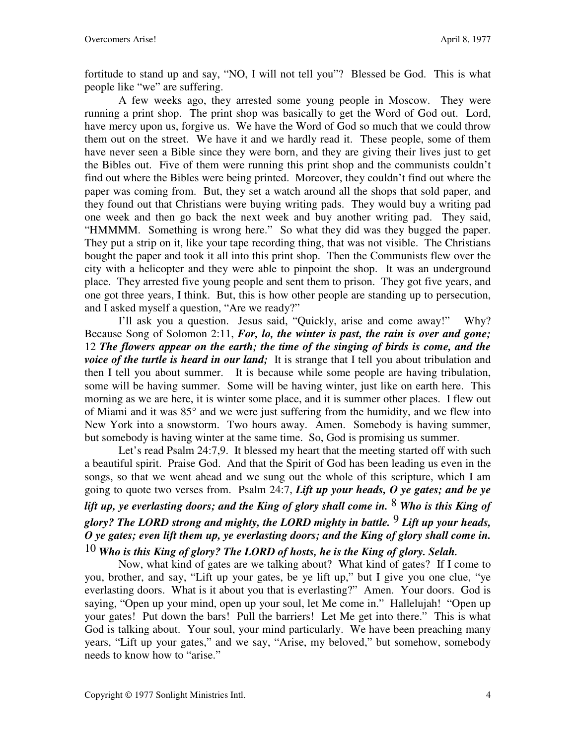fortitude to stand up and say, "NO, I will not tell you"? Blessed be God. This is what people like "we" are suffering.

A few weeks ago, they arrested some young people in Moscow. They were running a print shop. The print shop was basically to get the Word of God out. Lord, have mercy upon us, forgive us. We have the Word of God so much that we could throw them out on the street. We have it and we hardly read it. These people, some of them have never seen a Bible since they were born, and they are giving their lives just to get the Bibles out. Five of them were running this print shop and the communists couldn't find out where the Bibles were being printed. Moreover, they couldn't find out where the paper was coming from. But, they set a watch around all the shops that sold paper, and they found out that Christians were buying writing pads. They would buy a writing pad one week and then go back the next week and buy another writing pad. They said, "HMMMM. Something is wrong here." So what they did was they bugged the paper. They put a strip on it, like your tape recording thing, that was not visible. The Christians bought the paper and took it all into this print shop. Then the Communists flew over the city with a helicopter and they were able to pinpoint the shop. It was an underground place. They arrested five young people and sent them to prison. They got five years, and one got three years, I think. But, this is how other people are standing up to persecution, and I asked myself a question, "Are we ready?"

I'll ask you a question. Jesus said, "Quickly, arise and come away!" Why? Because Song of Solomon 2:11, *For, lo, the winter is past, the rain is over and gone;* 12 *The flowers appear on the earth; the time of the singing of birds is come, and the voice of the turtle is heard in our land*; It is strange that I tell you about tribulation and then I tell you about summer. It is because while some people are having tribulation, some will be having summer. Some will be having winter, just like on earth here. This morning as we are here, it is winter some place, and it is summer other places. I flew out of Miami and it was 85° and we were just suffering from the humidity, and we flew into New York into a snowstorm. Two hours away. Amen. Somebody is having summer, but somebody is having winter at the same time. So, God is promising us summer.

Let's read Psalm 24:7,9. It blessed my heart that the meeting started off with such a beautiful spirit. Praise God. And that the Spirit of God has been leading us even in the songs, so that we went ahead and we sung out the whole of this scripture, which I am going to quote two verses from. Psalm 24:7, *Lift up your heads, O ye gates; and be ye lift up, ye everlasting doors; and the King of glory shall come in.* 8 *Who is this King of glory? The LORD strong and mighty, the LORD mighty in battle.* 9 *Lift up your heads, O ye gates; even lift them up, ye everlasting doors; and the King of glory shall come in.* 10 *Who is this King of glory? The LORD of hosts, he is the King of glory. Selah.* 

Now, what kind of gates are we talking about? What kind of gates? If I come to you, brother, and say, "Lift up your gates, be ye lift up," but I give you one clue, "ye everlasting doors. What is it about you that is everlasting?" Amen. Your doors. God is saying, "Open up your mind, open up your soul, let Me come in." Hallelujah! "Open up your gates! Put down the bars! Pull the barriers! Let Me get into there." This is what God is talking about. Your soul, your mind particularly. We have been preaching many years, "Lift up your gates," and we say, "Arise, my beloved," but somehow, somebody needs to know how to "arise."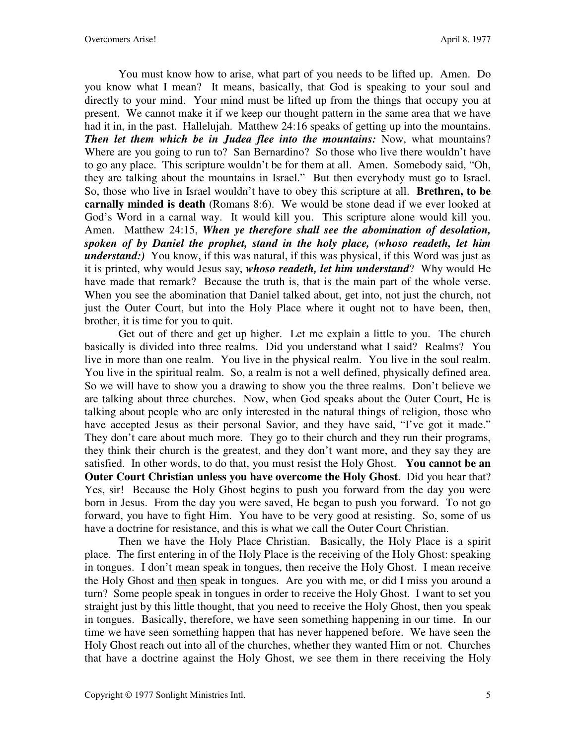You must know how to arise, what part of you needs to be lifted up. Amen. Do you know what I mean? It means, basically, that God is speaking to your soul and directly to your mind. Your mind must be lifted up from the things that occupy you at present. We cannot make it if we keep our thought pattern in the same area that we have had it in, in the past. Hallelujah. Matthew 24:16 speaks of getting up into the mountains. *Then let them which be in Judea flee into the mountains:* Now, what mountains? Where are you going to run to? San Bernardino? So those who live there wouldn't have to go any place. This scripture wouldn't be for them at all. Amen. Somebody said, "Oh, they are talking about the mountains in Israel." But then everybody must go to Israel. So, those who live in Israel wouldn't have to obey this scripture at all. **Brethren, to be carnally minded is death** (Romans 8:6). We would be stone dead if we ever looked at God's Word in a carnal way. It would kill you. This scripture alone would kill you. Amen. Matthew 24:15, *When ye therefore shall see the abomination of desolation, spoken of by Daniel the prophet, stand in the holy place, (whoso readeth, let him understand:)* You know, if this was natural, if this was physical, if this Word was just as it is printed, why would Jesus say, *whoso readeth, let him understand*? Why would He have made that remark? Because the truth is, that is the main part of the whole verse. When you see the abomination that Daniel talked about, get into, not just the church, not just the Outer Court, but into the Holy Place where it ought not to have been, then, brother, it is time for you to quit.

Get out of there and get up higher. Let me explain a little to you. The church basically is divided into three realms. Did you understand what I said? Realms? You live in more than one realm. You live in the physical realm. You live in the soul realm. You live in the spiritual realm. So, a realm is not a well defined, physically defined area. So we will have to show you a drawing to show you the three realms. Don't believe we are talking about three churches. Now, when God speaks about the Outer Court, He is talking about people who are only interested in the natural things of religion, those who have accepted Jesus as their personal Savior, and they have said, "I've got it made." They don't care about much more. They go to their church and they run their programs, they think their church is the greatest, and they don't want more, and they say they are satisfied. In other words, to do that, you must resist the Holy Ghost. **You cannot be an Outer Court Christian unless you have overcome the Holy Ghost**. Did you hear that? Yes, sir! Because the Holy Ghost begins to push you forward from the day you were born in Jesus. From the day you were saved, He began to push you forward. To not go forward, you have to fight Him. You have to be very good at resisting. So, some of us have a doctrine for resistance, and this is what we call the Outer Court Christian.

Then we have the Holy Place Christian. Basically, the Holy Place is a spirit place. The first entering in of the Holy Place is the receiving of the Holy Ghost: speaking in tongues. I don't mean speak in tongues, then receive the Holy Ghost. I mean receive the Holy Ghost and then speak in tongues. Are you with me, or did I miss you around a turn? Some people speak in tongues in order to receive the Holy Ghost. I want to set you straight just by this little thought, that you need to receive the Holy Ghost, then you speak in tongues. Basically, therefore, we have seen something happening in our time. In our time we have seen something happen that has never happened before. We have seen the Holy Ghost reach out into all of the churches, whether they wanted Him or not. Churches that have a doctrine against the Holy Ghost, we see them in there receiving the Holy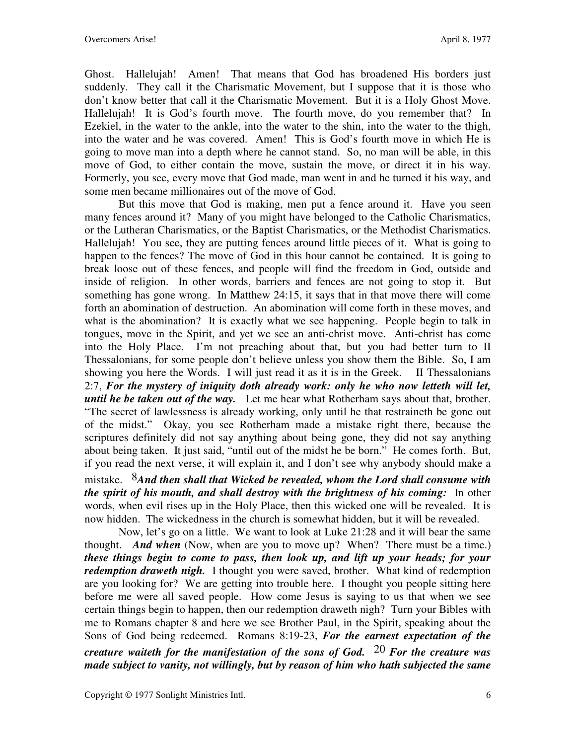Ghost. Hallelujah! Amen! That means that God has broadened His borders just suddenly. They call it the Charismatic Movement, but I suppose that it is those who don't know better that call it the Charismatic Movement. But it is a Holy Ghost Move. Hallelujah! It is God's fourth move. The fourth move, do you remember that? In Ezekiel, in the water to the ankle, into the water to the shin, into the water to the thigh, into the water and he was covered. Amen! This is God's fourth move in which He is going to move man into a depth where he cannot stand. So, no man will be able, in this move of God, to either contain the move, sustain the move, or direct it in his way. Formerly, you see, every move that God made, man went in and he turned it his way, and some men became millionaires out of the move of God.

But this move that God is making, men put a fence around it. Have you seen many fences around it? Many of you might have belonged to the Catholic Charismatics, or the Lutheran Charismatics, or the Baptist Charismatics, or the Methodist Charismatics. Hallelujah! You see, they are putting fences around little pieces of it. What is going to happen to the fences? The move of God in this hour cannot be contained. It is going to break loose out of these fences, and people will find the freedom in God, outside and inside of religion. In other words, barriers and fences are not going to stop it. But something has gone wrong. In Matthew 24:15, it says that in that move there will come forth an abomination of destruction. An abomination will come forth in these moves, and what is the abomination? It is exactly what we see happening. People begin to talk in tongues, move in the Spirit, and yet we see an anti-christ move. Anti-christ has come into the Holy Place. I'm not preaching about that, but you had better turn to II Thessalonians, for some people don't believe unless you show them the Bible. So, I am showing you here the Words. I will just read it as it is in the Greek. II Thessalonians 2:7, *For the mystery of iniquity doth already work: only he who now letteth will let, until he be taken out of the way.* Let me hear what Rotherham says about that, brother. "The secret of lawlessness is already working, only until he that restraineth be gone out of the midst." Okay, you see Rotherham made a mistake right there, because the scriptures definitely did not say anything about being gone, they did not say anything about being taken. It just said, "until out of the midst he be born." He comes forth. But, if you read the next verse, it will explain it, and I don't see why anybody should make a

mistake. 8*And then shall that Wicked be revealed, whom the Lord shall consume with the spirit of his mouth, and shall destroy with the brightness of his coming:* In other words, when evil rises up in the Holy Place, then this wicked one will be revealed. It is now hidden. The wickedness in the church is somewhat hidden, but it will be revealed.

Now, let's go on a little. We want to look at Luke 21:28 and it will bear the same thought. *And when* (Now, when are you to move up? When? There must be a time.) *these things begin to come to pass, then look up, and lift up your heads; for your redemption draweth nigh.* I thought you were saved, brother. What kind of redemption are you looking for? We are getting into trouble here. I thought you people sitting here before me were all saved people. How come Jesus is saying to us that when we see certain things begin to happen, then our redemption draweth nigh? Turn your Bibles with me to Romans chapter 8 and here we see Brother Paul, in the Spirit, speaking about the Sons of God being redeemed. Romans 8:19-23, *For the earnest expectation of the* 

*creature waiteth for the manifestation of the sons of God.* 20 *For the creature was made subject to vanity, not willingly, but by reason of him who hath subjected the same*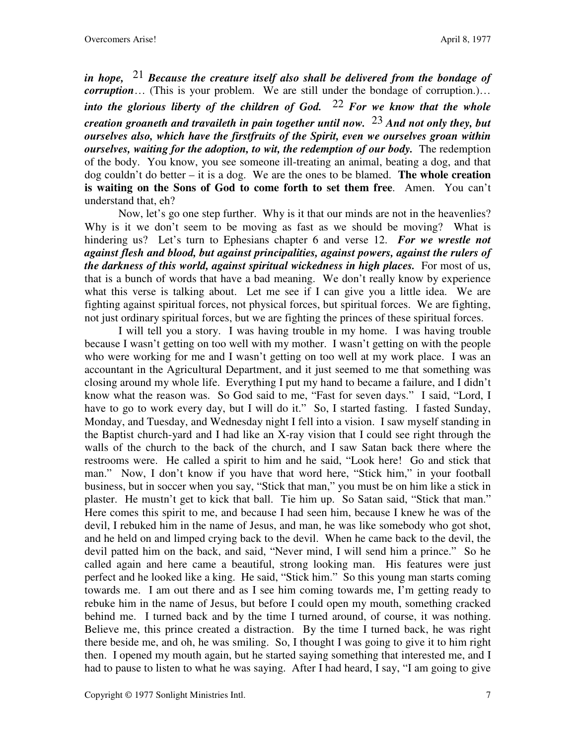*in hope,* 21 *Because the creature itself also shall be delivered from the bondage of corruption*… (This is your problem. We are still under the bondage of corruption.)… *into the glorious liberty of the children of God.* 22 *For we know that the whole creation groaneth and travaileth in pain together until now.* 23 *And not only they, but ourselves also, which have the firstfruits of the Spirit, even we ourselves groan within ourselves, waiting for the adoption, to wit, the redemption of our body.* The redemption of the body. You know, you see someone ill-treating an animal, beating a dog, and that dog couldn't do better – it is a dog. We are the ones to be blamed. **The whole creation is waiting on the Sons of God to come forth to set them free**. Amen. You can't understand that, eh?

Now, let's go one step further. Why is it that our minds are not in the heavenlies? Why is it we don't seem to be moving as fast as we should be moving? What is hindering us? Let's turn to Ephesians chapter 6 and verse 12. *For we wrestle not against flesh and blood, but against principalities, against powers, against the rulers of the darkness of this world, against spiritual wickedness in high places.* For most of us, that is a bunch of words that have a bad meaning. We don't really know by experience what this verse is talking about. Let me see if I can give you a little idea. We are fighting against spiritual forces, not physical forces, but spiritual forces. We are fighting, not just ordinary spiritual forces, but we are fighting the princes of these spiritual forces.

I will tell you a story. I was having trouble in my home. I was having trouble because I wasn't getting on too well with my mother. I wasn't getting on with the people who were working for me and I wasn't getting on too well at my work place. I was an accountant in the Agricultural Department, and it just seemed to me that something was closing around my whole life. Everything I put my hand to became a failure, and I didn't know what the reason was. So God said to me, "Fast for seven days." I said, "Lord, I have to go to work every day, but I will do it." So, I started fasting. I fasted Sunday, Monday, and Tuesday, and Wednesday night I fell into a vision. I saw myself standing in the Baptist church-yard and I had like an X-ray vision that I could see right through the walls of the church to the back of the church, and I saw Satan back there where the restrooms were. He called a spirit to him and he said, "Look here! Go and stick that man." Now, I don't know if you have that word here, "Stick him," in your football business, but in soccer when you say, "Stick that man," you must be on him like a stick in plaster. He mustn't get to kick that ball. Tie him up. So Satan said, "Stick that man." Here comes this spirit to me, and because I had seen him, because I knew he was of the devil, I rebuked him in the name of Jesus, and man, he was like somebody who got shot, and he held on and limped crying back to the devil. When he came back to the devil, the devil patted him on the back, and said, "Never mind, I will send him a prince." So he called again and here came a beautiful, strong looking man. His features were just perfect and he looked like a king. He said, "Stick him." So this young man starts coming towards me. I am out there and as I see him coming towards me, I'm getting ready to rebuke him in the name of Jesus, but before I could open my mouth, something cracked behind me. I turned back and by the time I turned around, of course, it was nothing. Believe me, this prince created a distraction. By the time I turned back, he was right there beside me, and oh, he was smiling. So, I thought I was going to give it to him right then. I opened my mouth again, but he started saying something that interested me, and I had to pause to listen to what he was saying. After I had heard, I say, "I am going to give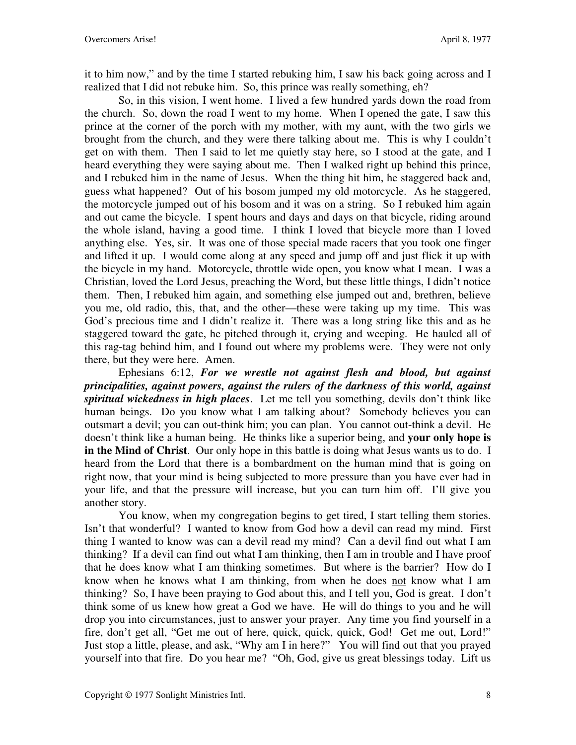it to him now," and by the time I started rebuking him, I saw his back going across and I realized that I did not rebuke him. So, this prince was really something, eh?

So, in this vision, I went home. I lived a few hundred yards down the road from the church. So, down the road I went to my home. When I opened the gate, I saw this prince at the corner of the porch with my mother, with my aunt, with the two girls we brought from the church, and they were there talking about me. This is why I couldn't get on with them. Then I said to let me quietly stay here, so I stood at the gate, and I heard everything they were saying about me. Then I walked right up behind this prince, and I rebuked him in the name of Jesus. When the thing hit him, he staggered back and, guess what happened? Out of his bosom jumped my old motorcycle. As he staggered, the motorcycle jumped out of his bosom and it was on a string. So I rebuked him again and out came the bicycle. I spent hours and days and days on that bicycle, riding around the whole island, having a good time. I think I loved that bicycle more than I loved anything else. Yes, sir. It was one of those special made racers that you took one finger and lifted it up. I would come along at any speed and jump off and just flick it up with the bicycle in my hand. Motorcycle, throttle wide open, you know what I mean. I was a Christian, loved the Lord Jesus, preaching the Word, but these little things, I didn't notice them. Then, I rebuked him again, and something else jumped out and, brethren, believe you me, old radio, this, that, and the other—these were taking up my time. This was God's precious time and I didn't realize it. There was a long string like this and as he staggered toward the gate, he pitched through it, crying and weeping. He hauled all of this rag-tag behind him, and I found out where my problems were. They were not only there, but they were here. Amen.

Ephesians 6:12, *For we wrestle not against flesh and blood, but against principalities, against powers, against the rulers of the darkness of this world, against spiritual wickedness in high places*. Let me tell you something, devils don't think like human beings. Do you know what I am talking about? Somebody believes you can outsmart a devil; you can out-think him; you can plan. You cannot out-think a devil. He doesn't think like a human being. He thinks like a superior being, and **your only hope is in the Mind of Christ**. Our only hope in this battle is doing what Jesus wants us to do. I heard from the Lord that there is a bombardment on the human mind that is going on right now, that your mind is being subjected to more pressure than you have ever had in your life, and that the pressure will increase, but you can turn him off. I'll give you another story.

You know, when my congregation begins to get tired, I start telling them stories. Isn't that wonderful? I wanted to know from God how a devil can read my mind. First thing I wanted to know was can a devil read my mind? Can a devil find out what I am thinking? If a devil can find out what I am thinking, then I am in trouble and I have proof that he does know what I am thinking sometimes. But where is the barrier? How do I know when he knows what I am thinking, from when he does not know what I am thinking? So, I have been praying to God about this, and I tell you, God is great. I don't think some of us knew how great a God we have. He will do things to you and he will drop you into circumstances, just to answer your prayer. Any time you find yourself in a fire, don't get all, "Get me out of here, quick, quick, quick, God! Get me out, Lord!" Just stop a little, please, and ask, "Why am I in here?" You will find out that you prayed yourself into that fire. Do you hear me? "Oh, God, give us great blessings today. Lift us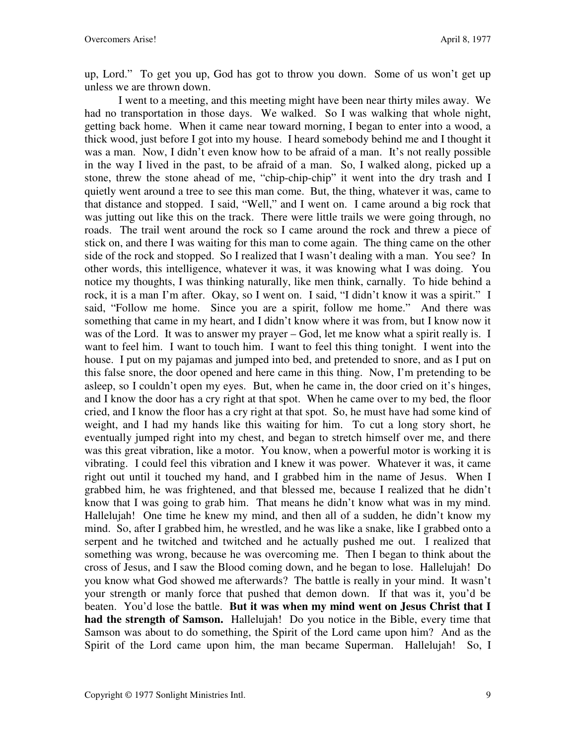up, Lord." To get you up, God has got to throw you down. Some of us won't get up unless we are thrown down.

I went to a meeting, and this meeting might have been near thirty miles away. We had no transportation in those days. We walked. So I was walking that whole night, getting back home. When it came near toward morning, I began to enter into a wood, a thick wood, just before I got into my house. I heard somebody behind me and I thought it was a man. Now, I didn't even know how to be afraid of a man. It's not really possible in the way I lived in the past, to be afraid of a man. So, I walked along, picked up a stone, threw the stone ahead of me, "chip-chip-chip" it went into the dry trash and I quietly went around a tree to see this man come. But, the thing, whatever it was, came to that distance and stopped. I said, "Well," and I went on. I came around a big rock that was jutting out like this on the track. There were little trails we were going through, no roads. The trail went around the rock so I came around the rock and threw a piece of stick on, and there I was waiting for this man to come again. The thing came on the other side of the rock and stopped. So I realized that I wasn't dealing with a man. You see? In other words, this intelligence, whatever it was, it was knowing what I was doing. You notice my thoughts, I was thinking naturally, like men think, carnally. To hide behind a rock, it is a man I'm after. Okay, so I went on. I said, "I didn't know it was a spirit." I said, "Follow me home. Since you are a spirit, follow me home." And there was something that came in my heart, and I didn't know where it was from, but I know now it was of the Lord. It was to answer my prayer – God, let me know what a spirit really is. I want to feel him. I want to touch him. I want to feel this thing tonight. I went into the house. I put on my pajamas and jumped into bed, and pretended to snore, and as I put on this false snore, the door opened and here came in this thing. Now, I'm pretending to be asleep, so I couldn't open my eyes. But, when he came in, the door cried on it's hinges, and I know the door has a cry right at that spot. When he came over to my bed, the floor cried, and I know the floor has a cry right at that spot. So, he must have had some kind of weight, and I had my hands like this waiting for him. To cut a long story short, he eventually jumped right into my chest, and began to stretch himself over me, and there was this great vibration, like a motor. You know, when a powerful motor is working it is vibrating. I could feel this vibration and I knew it was power. Whatever it was, it came right out until it touched my hand, and I grabbed him in the name of Jesus. When I grabbed him, he was frightened, and that blessed me, because I realized that he didn't know that I was going to grab him. That means he didn't know what was in my mind. Hallelujah! One time he knew my mind, and then all of a sudden, he didn't know my mind. So, after I grabbed him, he wrestled, and he was like a snake, like I grabbed onto a serpent and he twitched and twitched and he actually pushed me out. I realized that something was wrong, because he was overcoming me. Then I began to think about the cross of Jesus, and I saw the Blood coming down, and he began to lose. Hallelujah! Do you know what God showed me afterwards? The battle is really in your mind. It wasn't your strength or manly force that pushed that demon down. If that was it, you'd be beaten. You'd lose the battle. **But it was when my mind went on Jesus Christ that I had the strength of Samson.** Hallelujah! Do you notice in the Bible, every time that Samson was about to do something, the Spirit of the Lord came upon him? And as the Spirit of the Lord came upon him, the man became Superman. Hallelujah! So, I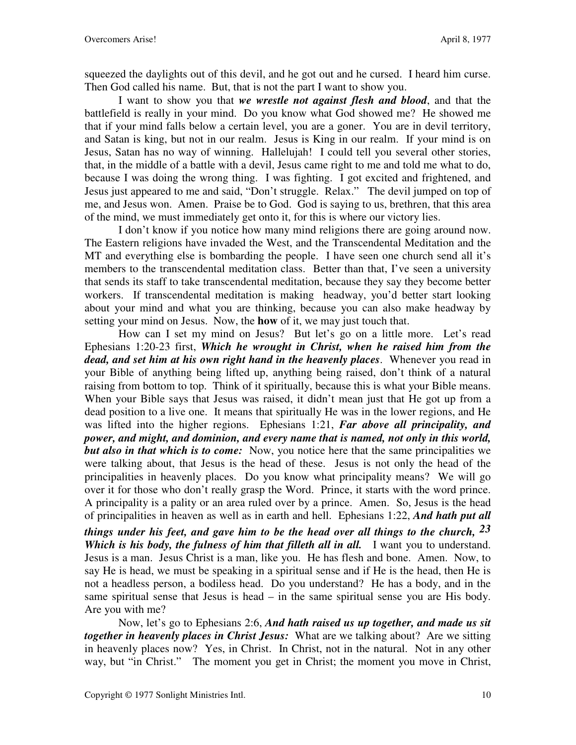squeezed the daylights out of this devil, and he got out and he cursed. I heard him curse. Then God called his name. But, that is not the part I want to show you.

I want to show you that *we wrestle not against flesh and blood*, and that the battlefield is really in your mind. Do you know what God showed me? He showed me that if your mind falls below a certain level, you are a goner. You are in devil territory, and Satan is king, but not in our realm. Jesus is King in our realm.If your mind is on Jesus, Satan has no way of winning. Hallelujah! I could tell you several other stories, that, in the middle of a battle with a devil, Jesus came right to me and told me what to do, because I was doing the wrong thing. I was fighting. I got excited and frightened, and Jesus just appeared to me and said, "Don't struggle. Relax." The devil jumped on top of me, and Jesus won. Amen. Praise be to God. God is saying to us, brethren, that this area of the mind, we must immediately get onto it, for this is where our victory lies.

I don't know if you notice how many mind religions there are going around now. The Eastern religions have invaded the West, and the Transcendental Meditation and the MT and everything else is bombarding the people. I have seen one church send all it's members to the transcendental meditation class. Better than that, I've seen a university that sends its staff to take transcendental meditation, because they say they become better workers. If transcendental meditation is making headway, you'd better start looking about your mind and what you are thinking, because you can also make headway by setting your mind on Jesus. Now, the **how** of it, we may just touch that.

How can I set my mind on Jesus? But let's go on a little more. Let's read Ephesians 1:20-23 first, *Which he wrought in Christ, when he raised him from the dead, and set him at his own right hand in the heavenly places*. Whenever you read in your Bible of anything being lifted up, anything being raised, don't think of a natural raising from bottom to top. Think of it spiritually, because this is what your Bible means. When your Bible says that Jesus was raised, it didn't mean just that He got up from a dead position to a live one. It means that spiritually He was in the lower regions, and He was lifted into the higher regions. Ephesians 1:21, *Far above all principality, and power, and might, and dominion, and every name that is named, not only in this world, but also in that which is to come:* Now, you notice here that the same principalities we were talking about, that Jesus is the head of these. Jesus is not only the head of the principalities in heavenly places. Do you know what principality means? We will go over it for those who don't really grasp the Word. Prince, it starts with the word prince. A principality is a pality or an area ruled over by a prince. Amen. So, Jesus is the head of principalities in heaven as well as in earth and hell. Ephesians 1:22, *And hath put all* 

*things under his feet, and gave him to be the head over all things to the church, 23 Which is his body, the fulness of him that filleth all in all.* I want you to understand. Jesus is a man. Jesus Christ is a man, like you. He has flesh and bone. Amen. Now, to say He is head, we must be speaking in a spiritual sense and if He is the head, then He is not a headless person, a bodiless head. Do you understand? He has a body, and in the same spiritual sense that Jesus is head – in the same spiritual sense you are His body. Are you with me?

Now, let's go to Ephesians 2:6, *And hath raised us up together, and made us sit together in heavenly places in Christ Jesus:* What are we talking about? Are we sitting in heavenly places now? Yes, in Christ. In Christ, not in the natural. Not in any other way, but "in Christ." The moment you get in Christ; the moment you move in Christ,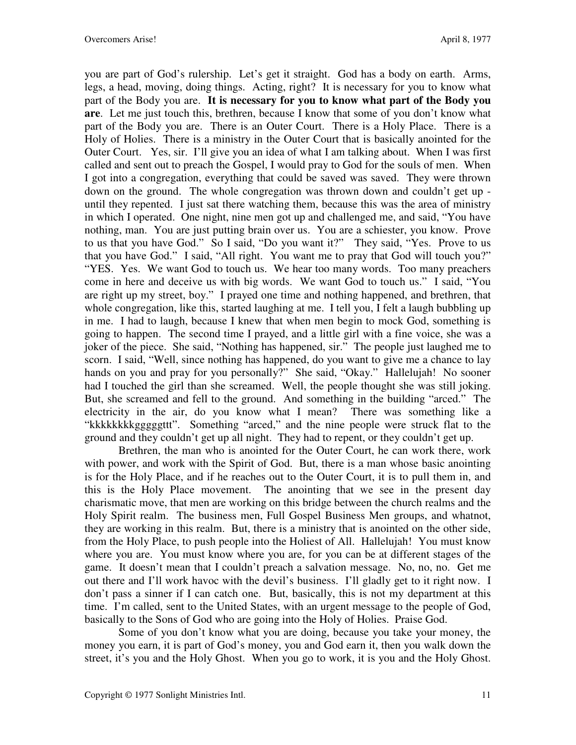you are part of God's rulership. Let's get it straight. God has a body on earth. Arms, legs, a head, moving, doing things. Acting, right? It is necessary for you to know what part of the Body you are. **It is necessary for you to know what part of the Body you are**. Let me just touch this, brethren, because I know that some of you don't know what part of the Body you are. There is an Outer Court. There is a Holy Place. There is a Holy of Holies. There is a ministry in the Outer Court that is basically anointed for the Outer Court. Yes, sir. I'll give you an idea of what I am talking about. When I was first called and sent out to preach the Gospel, I would pray to God for the souls of men. When I got into a congregation, everything that could be saved was saved. They were thrown down on the ground. The whole congregation was thrown down and couldn't get up until they repented. I just sat there watching them, because this was the area of ministry in which I operated. One night, nine men got up and challenged me, and said, "You have nothing, man. You are just putting brain over us. You are a schiester, you know. Prove to us that you have God." So I said, "Do you want it?" They said, "Yes. Prove to us that you have God." I said, "All right. You want me to pray that God will touch you?" "YES. Yes. We want God to touch us. We hear too many words. Too many preachers come in here and deceive us with big words. We want God to touch us." I said, "You are right up my street, boy." I prayed one time and nothing happened, and brethren, that whole congregation, like this, started laughing at me. I tell you, I felt a laugh bubbling up in me. I had to laugh, because I knew that when men begin to mock God, something is going to happen. The second time I prayed, and a little girl with a fine voice, she was a joker of the piece. She said, "Nothing has happened, sir." The people just laughed me to scorn. I said, "Well, since nothing has happened, do you want to give me a chance to lay hands on you and pray for you personally?" She said, "Okay." Hallelujah! No sooner had I touched the girl than she screamed. Well, the people thought she was still joking. But, she screamed and fell to the ground. And something in the building "arced." The electricity in the air, do you know what I mean? There was something like a "kkkkkkkkgggggttt". Something "arced," and the nine people were struck flat to the ground and they couldn't get up all night. They had to repent, or they couldn't get up.

Brethren, the man who is anointed for the Outer Court, he can work there, work with power, and work with the Spirit of God. But, there is a man whose basic anointing is for the Holy Place, and if he reaches out to the Outer Court, it is to pull them in, and this is the Holy Place movement. The anointing that we see in the present day charismatic move, that men are working on this bridge between the church realms and the Holy Spirit realm. The business men, Full Gospel Business Men groups, and whatnot, they are working in this realm. But, there is a ministry that is anointed on the other side, from the Holy Place, to push people into the Holiest of All.Hallelujah! You must know where you are. You must know where you are, for you can be at different stages of the game. It doesn't mean that I couldn't preach a salvation message. No, no, no. Get me out there and I'll work havoc with the devil's business. I'll gladly get to it right now. I don't pass a sinner if I can catch one. But, basically, this is not my department at this time. I'm called, sent to the United States, with an urgent message to the people of God, basically to the Sons of God who are going into the Holy of Holies. Praise God.

Some of you don't know what you are doing, because you take your money, the money you earn, it is part of God's money, you and God earn it, then you walk down the street, it's you and the Holy Ghost. When you go to work, it is you and the Holy Ghost.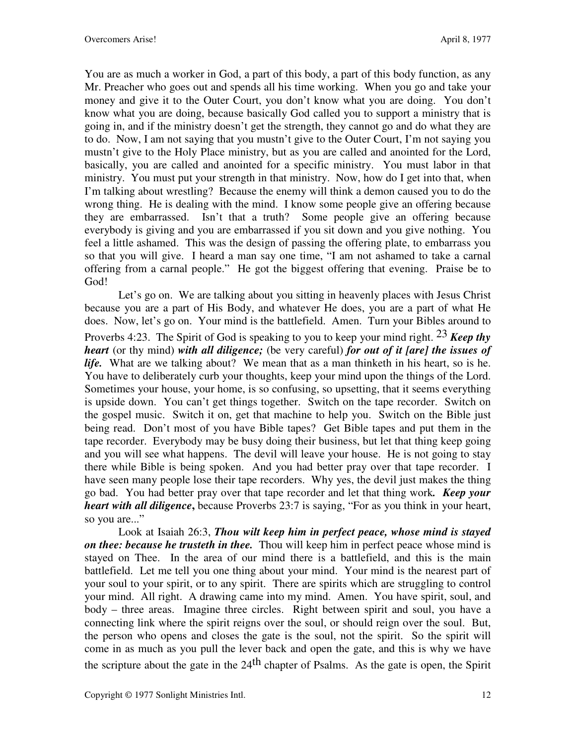You are as much a worker in God, a part of this body, a part of this body function, as any Mr. Preacher who goes out and spends all his time working. When you go and take your money and give it to the Outer Court, you don't know what you are doing. You don't know what you are doing, because basically God called you to support a ministry that is going in, and if the ministry doesn't get the strength, they cannot go and do what they are to do. Now, I am not saying that you mustn't give to the Outer Court, I'm not saying you mustn't give to the Holy Place ministry, but as you are called and anointed for the Lord, basically, you are called and anointed for a specific ministry. You must labor in that ministry. You must put your strength in that ministry. Now, how do I get into that, when I'm talking about wrestling? Because the enemy will think a demon caused you to do the wrong thing. He is dealing with the mind. I know some people give an offering because they are embarrassed. Isn't that a truth? Some people give an offering because everybody is giving and you are embarrassed if you sit down and you give nothing. You feel a little ashamed. This was the design of passing the offering plate, to embarrass you so that you will give. I heard a man say one time, "I am not ashamed to take a carnal offering from a carnal people." He got the biggest offering that evening. Praise be to God!

Let's go on. We are talking about you sitting in heavenly places with Jesus Christ because you are a part of His Body, and whatever He does, you are a part of what He does. Now, let's go on. Your mind is the battlefield. Amen. Turn your Bibles around to Proverbs 4:23. The Spirit of God is speaking to you to keep your mind right. 23 *Keep thy heart* (or thy mind) *with all diligence;* (be very careful) *for out of it [are] the issues of life.* What are we talking about? We mean that as a man thinketh in his heart, so is he. You have to deliberately curb your thoughts, keep your mind upon the things of the Lord. Sometimes your house, your home, is so confusing, so upsetting, that it seems everything is upside down. You can't get things together. Switch on the tape recorder. Switch on the gospel music. Switch it on, get that machine to help you. Switch on the Bible just being read. Don't most of you have Bible tapes? Get Bible tapes and put them in the tape recorder. Everybody may be busy doing their business, but let that thing keep going and you will see what happens. The devil will leave your house. He is not going to stay there while Bible is being spoken. And you had better pray over that tape recorder. I have seen many people lose their tape recorders. Why yes, the devil just makes the thing go bad. You had better pray over that tape recorder and let that thing work*. Keep your heart with all diligence***,** because Proverbs 23:7 is saying, "For as you think in your heart, so you are..."

Look at Isaiah 26:3, *Thou wilt keep him in perfect peace, whose mind is stayed on thee: because he trusteth in thee.* Thou will keep him in perfect peace whose mind is stayed on Thee. In the area of our mind there is a battlefield, and this is the main battlefield. Let me tell you one thing about your mind. Your mind is the nearest part of your soul to your spirit, or to any spirit. There are spirits which are struggling to control your mind. All right. A drawing came into my mind. Amen. You have spirit, soul, and body – three areas. Imagine three circles. Right between spirit and soul, you have a connecting link where the spirit reigns over the soul, or should reign over the soul. But, the person who opens and closes the gate is the soul, not the spirit. So the spirit will come in as much as you pull the lever back and open the gate, and this is why we have the scripture about the gate in the  $24<sup>th</sup>$  chapter of Psalms. As the gate is open, the Spirit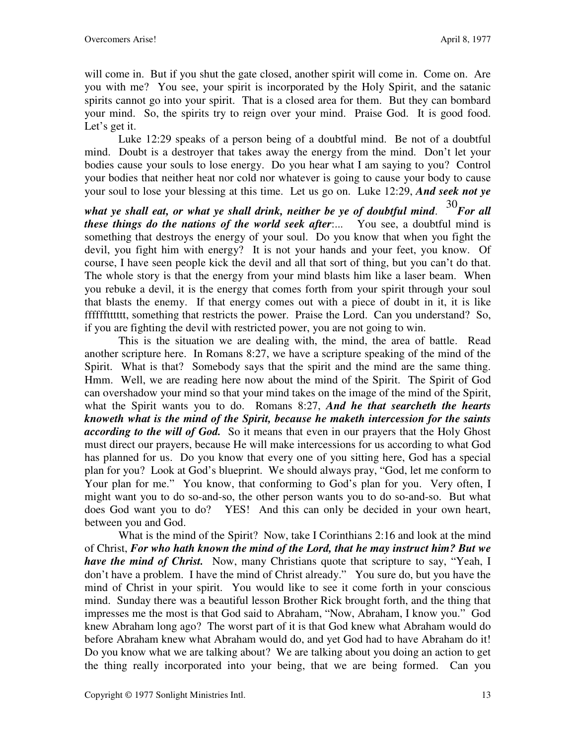will come in. But if you shut the gate closed, another spirit will come in. Come on. Are you with me? You see, your spirit is incorporated by the Holy Spirit, and the satanic spirits cannot go into your spirit. That is a closed area for them. But they can bombard your mind. So, the spirits try to reign over your mind. Praise God. It is good food. Let's get it.

Luke 12:29 speaks of a person being of a doubtful mind. Be not of a doubtful mind. Doubt is a destroyer that takes away the energy from the mind. Don't let your bodies cause your souls to lose energy. Do you hear what I am saying to you? Control your bodies that neither heat nor cold nor whatever is going to cause your body to cause your soul to lose your blessing at this time. Let us go on. Luke 12:29, *And seek not ye* 

*what ye shall eat, or what ye shall drink, neither be ye of doubtful mind*. <sup>30</sup>*For all these things do the nations of the world seek after*:... You see, a doubtful mind is something that destroys the energy of your soul. Do you know that when you fight the devil, you fight him with energy? It is not your hands and your feet, you know. Of course, I have seen people kick the devil and all that sort of thing, but you can't do that. The whole story is that the energy from your mind blasts him like a laser beam. When you rebuke a devil, it is the energy that comes forth from your spirit through your soul that blasts the enemy. If that energy comes out with a piece of doubt in it, it is like fffffftttttt, something that restricts the power. Praise the Lord. Can you understand? So, if you are fighting the devil with restricted power, you are not going to win.

This is the situation we are dealing with, the mind, the area of battle. Read another scripture here. In Romans 8:27, we have a scripture speaking of the mind of the Spirit. What is that? Somebody says that the spirit and the mind are the same thing. Hmm. Well, we are reading here now about the mind of the Spirit. The Spirit of God can overshadow your mind so that your mind takes on the image of the mind of the Spirit, what the Spirit wants you to do. Romans 8:27, *And he that searcheth the hearts knoweth what is the mind of the Spirit, because he maketh intercession for the saints according to the will of God.* So it means that even in our prayers that the Holy Ghost must direct our prayers, because He will make intercessions for us according to what God has planned for us. Do you know that every one of you sitting here, God has a special plan for you? Look at God's blueprint. We should always pray, "God, let me conform to Your plan for me." You know, that conforming to God's plan for you. Very often, I might want you to do so-and-so, the other person wants you to do so-and-so. But what does God want you to do? YES! And this can only be decided in your own heart, between you and God.

What is the mind of the Spirit? Now, take I Corinthians 2:16 and look at the mind of Christ, *For who hath known the mind of the Lord, that he may instruct him? But we have the mind of Christ.* Now, many Christians quote that scripture to say, "Yeah, I don't have a problem. I have the mind of Christ already." You sure do, but you have the mind of Christ in your spirit. You would like to see it come forth in your conscious mind. Sunday there was a beautiful lesson Brother Rick brought forth, and the thing that impresses me the most is that God said to Abraham, "Now, Abraham, I know you." God knew Abraham long ago? The worst part of it is that God knew what Abraham would do before Abraham knew what Abraham would do, and yet God had to have Abraham do it! Do you know what we are talking about? We are talking about you doing an action to get the thing really incorporated into your being, that we are being formed. Can you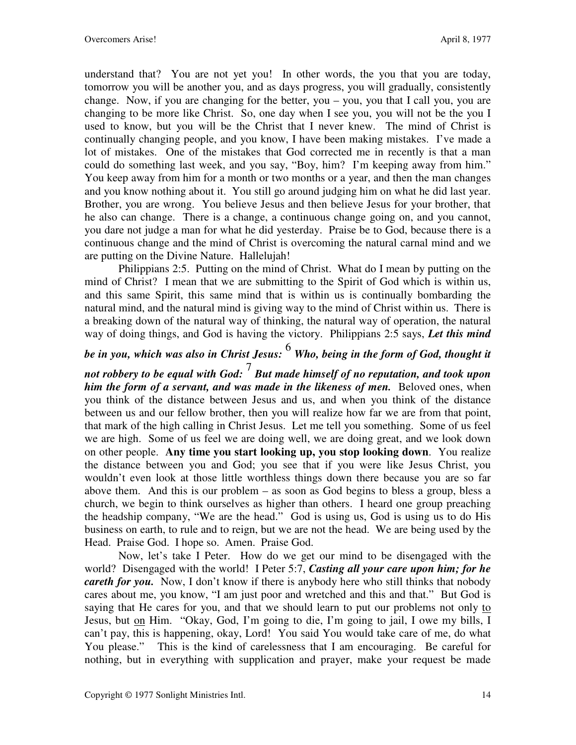understand that? You are not yet you! In other words, the you that you are today, tomorrow you will be another you, and as days progress, you will gradually, consistently change. Now, if you are changing for the better, you – you, you that I call you, you are changing to be more like Christ. So, one day when I see you, you will not be the you I used to know, but you will be the Christ that I never knew. The mind of Christ is continually changing people, and you know, I have been making mistakes. I've made a lot of mistakes. One of the mistakes that God corrected me in recently is that a man could do something last week, and you say, "Boy, him? I'm keeping away from him." You keep away from him for a month or two months or a year, and then the man changes and you know nothing about it. You still go around judging him on what he did last year. Brother, you are wrong. You believe Jesus and then believe Jesus for your brother, that he also can change. There is a change, a continuous change going on, and you cannot, you dare not judge a man for what he did yesterday. Praise be to God, because there is a continuous change and the mind of Christ is overcoming the natural carnal mind and we are putting on the Divine Nature. Hallelujah!

Philippians 2:5. Putting on the mind of Christ. What do I mean by putting on the mind of Christ? I mean that we are submitting to the Spirit of God which is within us, and this same Spirit, this same mind that is within us is continually bombarding the natural mind, and the natural mind is giving way to the mind of Christ within us. There is a breaking down of the natural way of thinking, the natural way of operation, the natural way of doing things, and God is having the victory. Philippians 2:5 says, *Let this mind* 

# *be in you, which was also in Christ Jesus:* 6 *Who, being in the form of God, thought it*

*not robbery to be equal with God:*<sup>7</sup> *But made himself of no reputation, and took upon him the form of a servant, and was made in the likeness of men.* Beloved ones, when you think of the distance between Jesus and us, and when you think of the distance between us and our fellow brother, then you will realize how far we are from that point, that mark of the high calling in Christ Jesus. Let me tell you something. Some of us feel we are high. Some of us feel we are doing well, we are doing great, and we look down on other people. **Any time you start looking up, you stop looking down**. You realize the distance between you and God; you see that if you were like Jesus Christ, you wouldn't even look at those little worthless things down there because you are so far above them. And this is our problem – as soon as God begins to bless a group, bless a church, we begin to think ourselves as higher than others. I heard one group preaching the headship company, "We are the head." God is using us, God is using us to do His business on earth, to rule and to reign, but we are not the head. We are being used by the Head. Praise God. I hope so. Amen. Praise God.

Now, let's take I Peter. How do we get our mind to be disengaged with the world? Disengaged with the world! I Peter 5:7, *Casting all your care upon him; for he careth for you.* Now, I don't know if there is anybody here who still thinks that nobody cares about me, you know, "I am just poor and wretched and this and that." But God is saying that He cares for you, and that we should learn to put our problems not only to Jesus, but on Him. "Okay, God, I'm going to die, I'm going to jail, I owe my bills, I can't pay, this is happening, okay, Lord! You said You would take care of me, do what You please." This is the kind of carelessness that I am encouraging. Be careful for nothing, but in everything with supplication and prayer, make your request be made